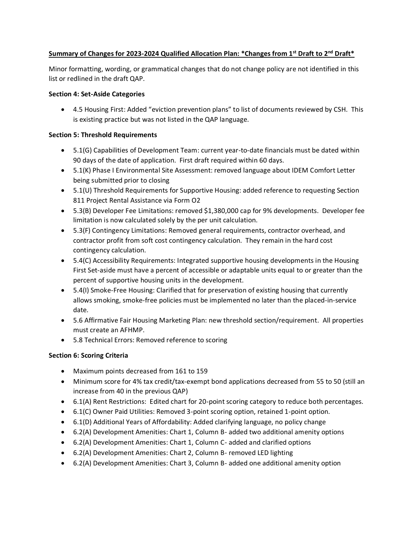### **Summary of Changes for 2023-2024 Qualified Allocation Plan: \*Changes from 1st Draft to 2nd Draft\***

Minor formatting, wording, or grammatical changes that do not change policy are not identified in this list or redlined in the draft QAP.

### **Section 4: Set-Aside Categories**

• 4.5 Housing First: Added "eviction prevention plans" to list of documents reviewed by CSH. This is existing practice but was not listed in the QAP language.

## **Section 5: Threshold Requirements**

- 5.1(G) Capabilities of Development Team: current year-to-date financials must be dated within 90 days of the date of application. First draft required within 60 days.
- 5.1(K) Phase I Environmental Site Assessment: removed language about IDEM Comfort Letter being submitted prior to closing
- 5.1(U) Threshold Requirements for Supportive Housing: added reference to requesting Section 811 Project Rental Assistance via Form O2
- 5.3(B) Developer Fee Limitations: removed \$1,380,000 cap for 9% developments. Developer fee limitation is now calculated solely by the per unit calculation.
- 5.3(F) Contingency Limitations: Removed general requirements, contractor overhead, and contractor profit from soft cost contingency calculation. They remain in the hard cost contingency calculation.
- 5.4(C) Accessibility Requirements: Integrated supportive housing developments in the Housing First Set-aside must have a percent of accessible or adaptable units equal to or greater than the percent of supportive housing units in the development.
- 5.4(I) Smoke-Free Housing: Clarified that for preservation of existing housing that currently allows smoking, smoke-free policies must be implemented no later than the placed-in-service date.
- 5.6 Affirmative Fair Housing Marketing Plan: new threshold section/requirement. All properties must create an AFHMP.
- 5.8 Technical Errors: Removed reference to scoring

# **Section 6: Scoring Criteria**

- Maximum points decreased from 161 to 159
- Minimum score for 4% tax credit/tax-exempt bond applications decreased from 55 to 50 (still an increase from 40 in the previous QAP)
- 6.1(A) Rent Restrictions: Edited chart for 20-point scoring category to reduce both percentages.
- 6.1(C) Owner Paid Utilities: Removed 3-point scoring option, retained 1-point option.
- 6.1(D) Additional Years of Affordability: Added clarifying language, no policy change
- 6.2(A) Development Amenities: Chart 1, Column B- added two additional amenity options
- 6.2(A) Development Amenities: Chart 1, Column C- added and clarified options
- 6.2(A) Development Amenities: Chart 2, Column B- removed LED lighting
- 6.2(A) Development Amenities: Chart 3, Column B- added one additional amenity option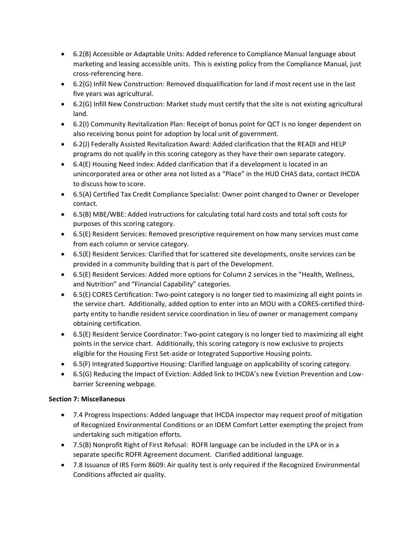- 6.2(B) Accessible or Adaptable Units: Added reference to Compliance Manual language about marketing and leasing accessible units. This is existing policy from the Compliance Manual, just cross-referencing here.
- 6.2(G) Infill New Construction: Removed disqualification for land if most recent use in the last five years was agricultural.
- 6.2(G) Infill New Construction: Market study must certify that the site is not existing agricultural land.
- 6.2(I) Community Revitalization Plan: Receipt of bonus point for QCT is no longer dependent on also receiving bonus point for adoption by local unit of government.
- 6.2(J) Federally Assisted Revitalization Award: Added clarification that the READI and HELP programs do not qualify in this scoring category as they have their own separate category.
- 6.4(E) Housing Need Index: Added clarification that if a development is located in an unincorporated area or other area not listed as a "Place" in the HUD CHAS data, contact IHCDA to discuss how to score.
- 6.5(A) Certified Tax Credit Compliance Specialist: Owner point changed to Owner or Developer contact.
- 6.5(B) MBE/WBE: Added instructions for calculating total hard costs and total soft costs for purposes of this scoring category.
- 6.5(E) Resident Services: Removed prescriptive requirement on how many services must come from each column or service category.
- 6.5(E) Resident Services: Clarified that for scattered site developments, onsite services can be provided in a community building that is part of the Development.
- 6.5(E) Resident Services: Added more options for Column 2 services in the "Health, Wellness, and Nutrition" and "Financial Capability" categories.
- 6.5(E) CORES Certification: Two-point category is no longer tied to maximizing all eight points in the service chart. Additionally, added option to enter into an MOU with a CORES-certified thirdparty entity to handle resident service coordination in lieu of owner or management company obtaining certification.
- 6.5(E) Resident Service Coordinator: Two-point category is no longer tied to maximizing all eight points in the service chart. Additionally, this scoring category is now exclusive to projects eligible for the Housing First Set-aside or Integrated Supportive Housing points.
- 6.5(F) Integrated Supportive Housing: Clarified language on applicability of scoring category.
- 6.5(G) Reducing the Impact of Eviction: Added link to IHCDA's new Eviction Prevention and Lowbarrier Screening webpage.

# **Section 7: Miscellaneous**

- 7.4 Progress Inspections: Added language that IHCDA inspector may request proof of mitigation of Recognized Environmental Conditions or an IDEM Comfort Letter exempting the project from undertaking such mitigation efforts.
- 7.5(B) Nonprofit Right of First Refusal: ROFR language can be included in the LPA or in a separate specific ROFR Agreement document. Clarified additional language.
- 7.8 Issuance of IRS Form 8609: Air quality test is only required if the Recognized Environmental Conditions affected air quality.